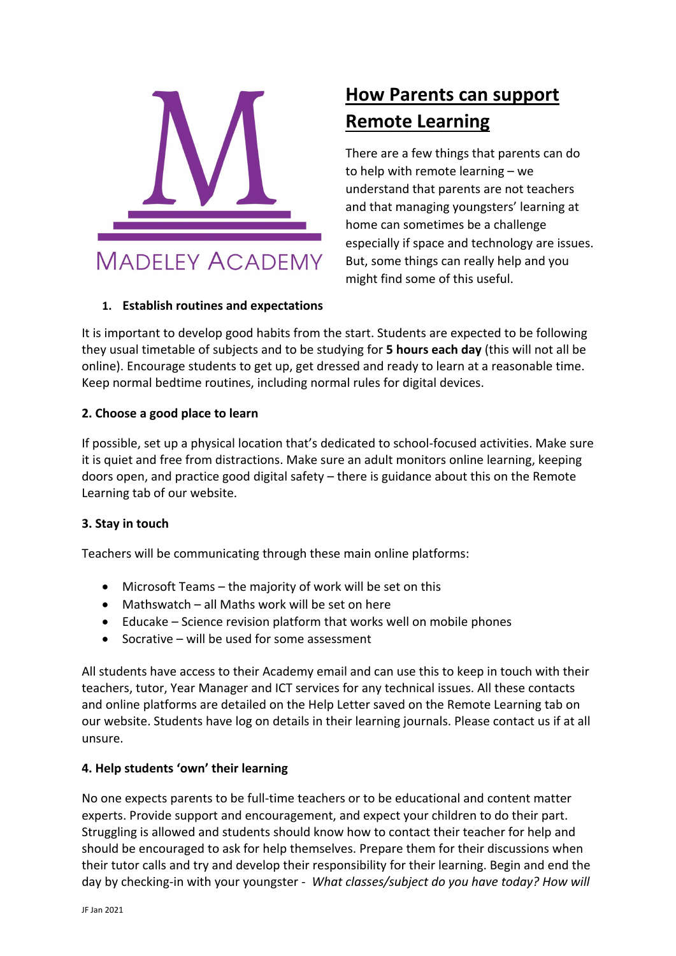

# **How Parents can support Remote Learning**

There are a few things that parents can do to help with remote learning – we understand that parents are not teachers and that managing youngsters' learning at home can sometimes be a challenge especially if space and technology are issues. But, some things can really help and you might find some of this useful.

## **1. Establish routines and expectations**

It is important to develop good habits from the start. Students are expected to be following they usual timetable of subjects and to be studying for **5 hours each day** (this will not all be online). Encourage students to get up, get dressed and ready to learn at a reasonable time. Keep normal bedtime routines, including normal rules for digital devices.

## **2. Choose a good place to learn**

If possible, set up a physical location that's dedicated to school‐focused activities. Make sure it is quiet and free from distractions. Make sure an adult monitors online learning, keeping doors open, and practice good digital safety – there is guidance about this on the Remote Learning tab of our website.

## **3. Stay in touch**

Teachers will be communicating through these main online platforms:

- Microsoft Teams the majority of work will be set on this
- Mathswatch all Maths work will be set on here
- Educake Science revision platform that works well on mobile phones
- $\bullet$  Socrative will be used for some assessment

All students have access to their Academy email and can use this to keep in touch with their teachers, tutor, Year Manager and ICT services for any technical issues. All these contacts and online platforms are detailed on the Help Letter saved on the Remote Learning tab on our website. Students have log on details in their learning journals. Please contact us if at all unsure.

#### **4. Help students 'own' their learning**

No one expects parents to be full‐time teachers or to be educational and content matter experts. Provide support and encouragement, and expect your children to do their part. Struggling is allowed and students should know how to contact their teacher for help and should be encouraged to ask for help themselves. Prepare them for their discussions when their tutor calls and try and develop their responsibility for their learning. Begin and end the day by checking‐in with your youngster ‐ *What classes/subject do you have today? How will*